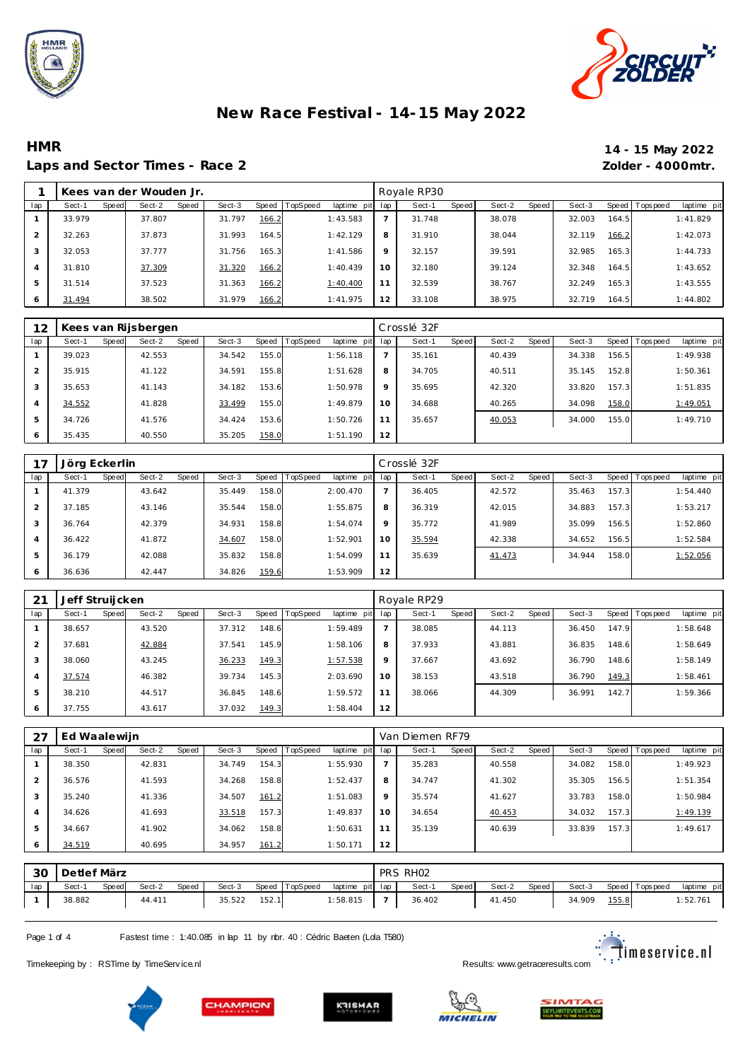



#### **HMR 14 - 15 May 2022** Laps and Sector Times - Race 2 *Zolder - 4000mtr.*

|                | Kees van der Wouden Jr. |       |        |       |        |       |          |             |     | Royale RP30 |       |        |       |        |       |                |             |
|----------------|-------------------------|-------|--------|-------|--------|-------|----------|-------------|-----|-------------|-------|--------|-------|--------|-------|----------------|-------------|
| lap            | Sect-1                  | Speed | Sect-2 | Speed | Sect-3 | Speed | TopSpeed | laptime pit | lap | Sect-1      | Speed | Sect-2 | Speed | Sect-3 |       | Speed Topspeed | laptime pit |
|                | 33.979                  |       | 37.807 |       | 31.797 | 166.2 |          | 1:43.583    |     | 31.748      |       | 38.078 |       | 32.003 | 164.5 |                | 1:41.829    |
| $\mathcal{P}$  | 32.263                  |       | 37.873 |       | 31.993 | 164.5 |          | 1:42.129    | 8   | 31.910      |       | 38.044 |       | 32.119 | 166.2 |                | 1:42.073    |
| 3              | 32.053                  |       | 37.777 |       | 31.756 | 165.3 |          | 1:41.586    | 9   | 32.157      |       | 39.591 |       | 32.985 | 165.3 |                | 1:44.733    |
| $\overline{A}$ | 31.810                  |       | 37.309 |       | 31.320 | 166.2 |          | 1:40.439    | 10  | 32.180      |       | 39.124 |       | 32.348 | 164.5 |                | 1:43.652    |
| 5              | 31.514                  |       | 37.523 |       | 31.363 | 166.2 |          | 1:40.400    | 11  | 32.539      |       | 38.767 |       | 32.249 | 165.3 |                | 1:43.555    |
| 6              | 31.494                  |       | 38.502 |       | 31.979 | 166.2 |          | 1:41.975    | 12  | 33.108      |       | 38.975 |       | 32.719 | 164.5 |                | 1:44.802    |

| 12      |        |       | Kees van Rijsbergen |       |        |       |          |                 |         | Crosslé 32F |       |        |       |        |       |                |             |
|---------|--------|-------|---------------------|-------|--------|-------|----------|-----------------|---------|-------------|-------|--------|-------|--------|-------|----------------|-------------|
| lap     | Sect-1 | Speed | Sect-2              | Speed | Sect-3 | Speed | TopSpeed | laptime pit lap |         | Sect-1      | Speed | Sect-2 | Speed | Sect-3 |       | Speed Topspeed | laptime pit |
|         | 39.023 |       | 42.553              |       | 34.542 | 155.0 |          | 1:56.118        |         | 35.161      |       | 40.439 |       | 34.338 | 156.5 |                | 1:49.938    |
|         | 35.915 |       | 41.122              |       | 34.591 | 155.8 |          | 1:51.628        | 8       | 34.705      |       | 40.511 |       | 35.145 | 152.8 |                | 1:50.361    |
| $\cdot$ | 35.653 |       | 41.143              |       | 34.182 | 153.6 |          | 1:50.978        | $\circ$ | 35.695      |       | 42.320 |       | 33.820 | 157.3 |                | 1:51.835    |
|         | 34.552 |       | 41.828              |       | 33.499 | 155.0 |          | 1:49.879        | 10      | 34.688      |       | 40.265 |       | 34.098 | 158.0 |                | 1:49.051    |
|         | 34.726 |       | 41.576              |       | 34.424 | 153.6 |          | 1:50.726        | 11      | 35.657      |       | 40.053 |       | 34.000 | 155.0 |                | 1:49.710    |
| 6       | 35.435 |       | 40.550              |       | 35.205 | 158.0 |          | 1:51.190        | 12      |             |       |        |       |        |       |                |             |

|               | Jörg Eckerlin |                          |                 |                         |         | Crosslé 32F     |                 |                        |                         |
|---------------|---------------|--------------------------|-----------------|-------------------------|---------|-----------------|-----------------|------------------------|-------------------------|
| lap           | Sect-1        | Sect-2<br>Speed<br>Speed | Sect-3<br>Speed | TopSpeed<br>laptime pit | lap     | Speed<br>Sect-1 | Sect-2<br>Speed | Sect-3<br><b>Speed</b> | Topspeed<br>laptime pit |
|               | 41.379        | 43.642                   | 158.0<br>35.449 | 2:00.470                |         | 36.405          | 42.572          | 157.3<br>35.463        | 1:54.440                |
| $\mathcal{P}$ | 37.185        | 43.146                   | 158.0<br>35.544 | 1:55.875                | 8       | 36.319          | 42.015          | 157.3<br>34.883        | 1:53.217                |
| 3             | 36.764        | 42.379                   | 158.8<br>34.931 | 1:54.074                | $\circ$ | 35.772          | 41.989          | 156.5<br>35.099        | 1:52.860                |
| 4             | 36.422        | 41.872                   | 158.0<br>34.607 | 1:52.901                | 10      | 35.594          | 42.338          | 156.5<br>34.652        | 1:52.584                |
| 5             | 36.179        | 42.088                   | 158.8<br>35.832 | 1:54.099                | 11      | 35.639          | 41.473          | 158.0<br>34.944        | 1:52.056                |
| 6             | 36.636        | 42.447                   | 159.6<br>34.826 | 1:53.909                | 12      |                 |                 |                        |                         |

| 21             | Jeff Struijcken |        |       |        |       |                |             |                          | Royale RP29 |       |        |       |        |       |                |             |
|----------------|-----------------|--------|-------|--------|-------|----------------|-------------|--------------------------|-------------|-------|--------|-------|--------|-------|----------------|-------------|
| lap            | Sect-1<br>Speed | Sect-2 | Speed | Sect-3 |       | Speed TopSpeed | laptime pit | lap                      | Sect-1      | Speed | Sect-2 | Speed | Sect-3 |       | Speed Topspeed | laptime pit |
|                | 38.657          | 43.520 |       | 37.312 | 148.6 |                | 1:59.489    | $\overline{\phantom{0}}$ | 38.085      |       | 44.113 |       | 36.450 | 147.9 |                | 1:58.648    |
| $\mathcal{P}$  | 37.681          | 42.884 |       | 37.541 | 145.9 |                | 1:58.106    | 8                        | 37.933      |       | 43.881 |       | 36.835 | 148.6 |                | 1:58.649    |
| 3              | 38.060          | 43.245 |       | 36.233 | 149.3 |                | 1:57.538    | 9                        | 37.667      |       | 43.692 |       | 36.790 | 148.6 |                | 1:58.149    |
| $\overline{4}$ | 37.574          | 46.382 |       | 39.734 | 145.3 |                | 2:03.690    | 10                       | 38.153      |       | 43.518 |       | 36.790 | 149.3 |                | 1:58.461    |
| 5              | 38.210          | 44.517 |       | 36.845 | 148.6 |                | 1:59.572    | 11                       | 38.066      |       | 44.309 |       | 36.991 | 142.7 |                | 1:59.366    |
| 6              | 37.755          | 43.617 |       | 37.032 | 149.3 |                | 1:58.404    | 12                       |             |       |        |       |        |       |                |             |

| 27  | Ed Waalewijn |       |        |       |        |           |                 |             |         | Van Diemen RF79 |       |        |       |        |       |                |             |
|-----|--------------|-------|--------|-------|--------|-----------|-----------------|-------------|---------|-----------------|-------|--------|-------|--------|-------|----------------|-------------|
| lap | Sect-1       | Speed | Sect-2 | Speed | Sect-3 | Speed   T | <b>TopSpeed</b> | laptime pit | lap     | Sect-1          | Speed | Sect-2 | Speed | Sect-3 |       | Speed Topspeed | laptime pit |
|     | 38.350       |       | 42.831 |       | 34.749 | 154.3     |                 | 1:55.930    |         | 35.283          |       | 40.558 |       | 34.082 | 158.0 |                | 1:49.923    |
| 2   | 36.576       |       | 41.593 |       | 34.268 | 158.8     |                 | 1:52.437    | 8       | 34.747          |       | 41.302 |       | 35.305 | 156.5 |                | 1:51.354    |
| 3   | 35.240       |       | 41.336 |       | 34.507 | 161.2     |                 | 1:51.083    | $\circ$ | 35.574          |       | 41.627 |       | 33.783 | 158.0 |                | 1:50.984    |
| 4   | 34.626       |       | 41.693 |       | 33.518 | 157.3     |                 | 1:49.837    | 10      | 34.654          |       | 40.453 |       | 34.032 | 157.3 |                | 1:49.139    |
| 5   | 34.667       |       | 41.902 |       | 34.062 | 158.8     |                 | 1:50.631    | 11      | 35.139          |       | 40.639 |       | 33.839 | 157.3 |                | 1:49.617    |
| 6   | 34.519       |       | 40.695 |       | 34.957 | 161.2     |                 | 1:50.171    | 12      |                 |       |        |       |        |       |                |             |

| -30 | Detlef März |       |        |       |        |       |          |                 | PRS RH <sub>02</sub> |       |        |       |        |       |                 |             |
|-----|-------------|-------|--------|-------|--------|-------|----------|-----------------|----------------------|-------|--------|-------|--------|-------|-----------------|-------------|
| lap | Sect-'      | Speed | Sect-2 | Speed | Sect-3 | Speed | TopSpeed | laptime pit lap | Sect-1               | Speed | Sect-2 | Speed | Sect-3 |       | Speed Tops peed | laptime pit |
|     | 38.882      |       | 44.411 |       | 35.522 | 152.1 |          | :58.815         | 36.402               |       | 41.450 |       | 34.909 | 155.8 |                 | 1:52.761    |

Page 1 of 4 Fastest time : 1:40.085 in lap 11 by nbr. 40 : Cédric Baeten (Lda T580)

<u>estar</u><br>Construction in the service and

Timekeeping by : RSTime by TimeServ ice.nl **Results:** We are a state of the Service of the Service of the Service of the Service of the Service of the Service of the Service of the Service of the Service of the Service of







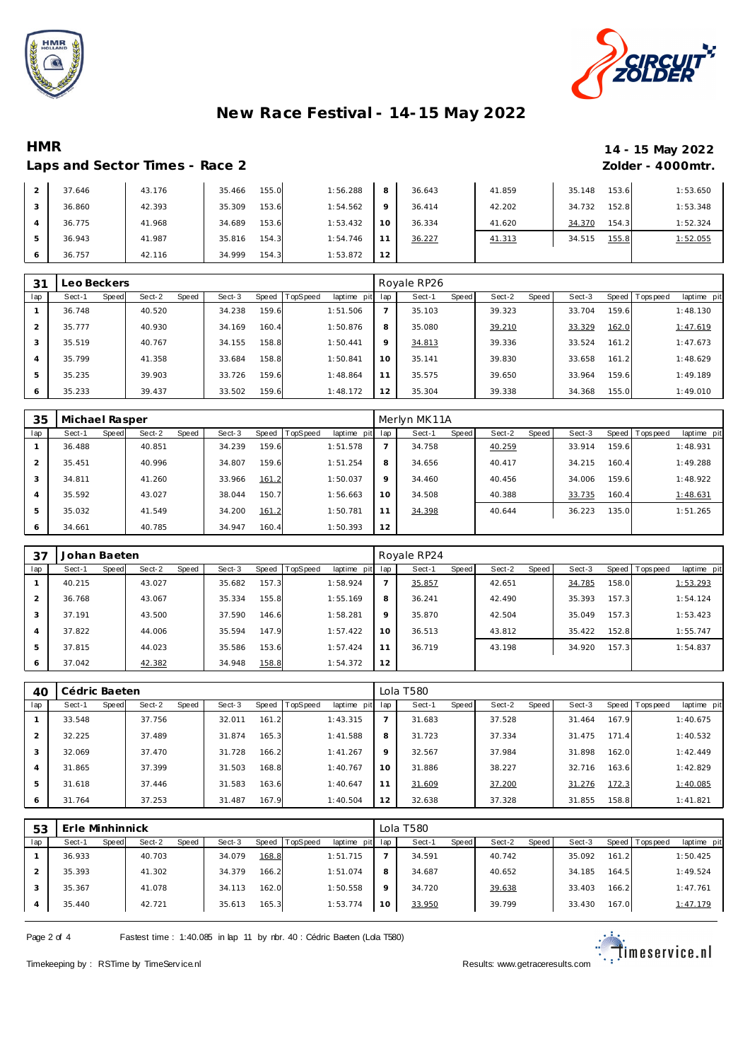



# **HMR 14 - 15 May 2022**

#### Laps and Sector Times - Race 2 *Zolder - 4000mtr.*

|                | 37.646 | 43.176 | 155.0<br>35.466 | 1:56.288 | 8       | 36.643 | 41.859 | 153.6<br>35.148 | 1:53.650 |
|----------------|--------|--------|-----------------|----------|---------|--------|--------|-----------------|----------|
|                | 36.860 | 42.393 | 153.6<br>35.309 | 1:54.562 | $\circ$ | 36.414 | 42.202 | 152.8<br>34.732 | 1:53.348 |
| $\overline{A}$ | 36.775 | 41.968 | 34.689<br>153.6 | 1:53.432 | 10      | 36.334 | 41.620 | 154.3<br>34.370 | 1:52.324 |
| .5             | 36.943 | 41.987 | 154.3<br>35.816 | 1:54.746 | 11      | 36.227 | 41.313 | 155.8<br>34.515 | 1:52.055 |
| 6              | 36.757 | 42.116 | 154.3<br>34.999 | 1:53.872 | 12      |        |        |                 |          |

| 31             | Leo Beckers     |                 |        |       |          |             |     | Royale RP26 |       |        |       |        |       |                 |             |
|----------------|-----------------|-----------------|--------|-------|----------|-------------|-----|-------------|-------|--------|-------|--------|-------|-----------------|-------------|
| lap            | Speed<br>Sect-1 | Sect-2<br>Speed | Sect-3 | Speed | TopSpeed | laptime pit | lap | Sect-1      | Speed | Sect-2 | Speed | Sect-3 |       | Speed Tops peed | laptime pit |
|                | 36.748          | 40.520          | 34.238 | 159.6 |          | 1:51.506    |     | 35.103      |       | 39.323 |       | 33.704 | 159.6 |                 | 1:48.130    |
| $\overline{2}$ | 35.777          | 40.930          | 34.169 | 160.4 |          | 1:50.876    | 8   | 35.080      |       | 39.210 |       | 33.329 | 162.0 |                 | 1:47.619    |
| 3              | 35.519          | 40.767          | 34.155 | 158.8 |          | 1:50.441    | 9   | 34.813      |       | 39.336 |       | 33.524 | 161.2 |                 | 1:47.673    |
| 4              | 35.799          | 41.358          | 33.684 | 158.8 |          | 1:50.841    | 10  | 35.141      |       | 39.830 |       | 33.658 | 161.2 |                 | 1:48.629    |
| 5              | 35.235          | 39.903          | 33.726 | 159.6 |          | 1:48.864    | 11  | 35.575      |       | 39.650 |       | 33.964 | 159.6 |                 | 1:49.189    |
| 6              | 35.233          | 39.437          | 33.502 | 159.6 |          | 1:48.172    | 12  | 35.304      |       | 39.338 |       | 34.368 | 155.0 |                 | 1:49.010    |

| 35             | Michael Rasper |       |        |       |        |       |          |             |     | Merlyn MK11A |       |        |       |        |       |                |             |
|----------------|----------------|-------|--------|-------|--------|-------|----------|-------------|-----|--------------|-------|--------|-------|--------|-------|----------------|-------------|
| lap            | Sect-1         | Speed | Sect-2 | Speed | Sect-3 | Speed | TopSpeed | laptime pit | lap | Sect-1       | Speed | Sect-2 | Speed | Sect-3 |       | Speed Topspeed | laptime pit |
|                | 36.488         |       | 40.851 |       | 34.239 | 159.6 |          | 1:51.578    |     | 34.758       |       | 40.259 |       | 33.914 | 159.6 |                | 1:48.931    |
| 2              | 35.451         |       | 40.996 |       | 34.807 | 159.6 |          | 1:51.254    | 8   | 34.656       |       | 40.417 |       | 34.215 | 160.4 |                | 1:49.288    |
| 3              | 34.811         |       | 41.260 |       | 33.966 | 161.2 |          | 1:50.037    | 9   | 34.460       |       | 40.456 |       | 34.006 | 159.6 |                | 1:48.922    |
| $\overline{4}$ | 35.592         |       | 43.027 |       | 38.044 | 150.7 |          | 1:56.663    | 10  | 34.508       |       | 40.388 |       | 33.735 | 160.4 |                | 1:48.631    |
| 5              | 35.032         |       | 41.549 |       | 34.200 | 161.2 |          | 1:50.781    | 11  | 34.398       |       | 40.644 |       | 36.223 | 135.0 |                | 1:51.265    |
| 6              | 34.661         |       | 40.785 |       | 34.947 | 160.4 |          | 1:50.393    | 12  |              |       |        |       |        |       |                |             |

| 37  | Johan Baeten |       |        |       |        |       |                  |             |         | Royale RP24 |       |        |       |        |       |                |             |
|-----|--------------|-------|--------|-------|--------|-------|------------------|-------------|---------|-------------|-------|--------|-------|--------|-------|----------------|-------------|
| lap | Sect-1       | Speed | Sect-2 | Speed | Sect-3 |       | Speed   TopSpeed | laptime pit | lap     | Sect-1      | Speed | Sect-2 | Speed | Sect-3 |       | Speed Topspeed | laptime pit |
|     | 40.215       |       | 43.027 |       | 35.682 | 157.3 |                  | 1:58.924    |         | 35.857      |       | 42.651 |       | 34.785 | 158.0 |                | 1:53.293    |
| 2   | 36.768       |       | 43.067 |       | 35.334 | 155.8 |                  | 1:55.169    | 8       | 36.241      |       | 42.490 |       | 35.393 | 157.3 |                | 1:54.124    |
| 3   | 37.191       |       | 43.500 |       | 37.590 | 146.6 |                  | 1:58.281    | $\circ$ | 35.870      |       | 42.504 |       | 35.049 | 157.3 |                | 1:53.423    |
| 4   | 37.822       |       | 44.006 |       | 35.594 | 147.9 |                  | 1:57.422    | 10      | 36.513      |       | 43.812 |       | 35.422 | 152.8 |                | 1:55.747    |
| 5   | 37.815       |       | 44.023 |       | 35.586 | 153.6 |                  | 1:57.424    | 11      | 36.719      |       | 43.198 |       | 34.920 | 157.3 |                | 1:54.837    |
| 6   | 37.042       |       | 42.382 |       | 34.948 | 158.8 |                  | 1:54.372    | 12      |             |       |        |       |        |       |                |             |

| 40  | Cédric Baeten |       |        |       |        |       |          |             |         | Lola T580 |       |        |       |            |       |           |             |
|-----|---------------|-------|--------|-------|--------|-------|----------|-------------|---------|-----------|-------|--------|-------|------------|-------|-----------|-------------|
| lap | Sect-1        | Speed | Sect-2 | Speed | Sect-3 | Speed | TopSpeed | laptime pit | lap     | Sect-1    | Speed | Sect-2 | Speed | Sect-3     | Speed | Tops peed | laptime pit |
|     | 33.548        |       | 37.756 |       | 32.011 | 161.2 |          | 1:43.315    |         | 31.683    |       | 37.528 |       | .464<br>31 | 167.9 |           | 1:40.675    |
| 2   | 32.225        |       | 37.489 |       | 31.874 | 165.3 |          | 1:41.588    | 8       | 31.723    |       | 37.334 |       | 31.475     | 171.4 |           | 1:40.532    |
| 3   | 32.069        |       | 37.470 |       | 31.728 | 166.2 |          | 1:41.267    | $\circ$ | 32.567    |       | 37.984 |       | 31.898     | 162.0 |           | 1:42.449    |
| 4   | 31.865        |       | 37.399 |       | 31.503 | 168.8 |          | 1:40.767    | 10      | 31.886    |       | 38.227 |       | 32.716     | 163.6 |           | 1:42.829    |
| 5   | 31.618        |       | 37.446 |       | 31.583 | 163.6 |          | 1:40.647    | 11      | 31.609    |       | 37.200 |       | 31.276     | 172.3 |           | 1:40.085    |
| O   | 31.764        |       | 37.253 |       | 31.487 | 167.9 |          | 1:40.504    | 12      | 32.638    |       | 37.328 |       | 31.855     | 158.8 |           | 1:41.821    |

| 53  | Erle Minhinnick |                 |                 |                               |         | Lola T580              |                 |                 |                                 |
|-----|-----------------|-----------------|-----------------|-------------------------------|---------|------------------------|-----------------|-----------------|---------------------------------|
| lap | Sect-1<br>Speed | Sect-2<br>Speed | Sect-3          | Speed TopSpeed<br>laptime pit | lap     | Sect-1<br><b>Speed</b> | Speed<br>Sect-2 | Sect-3          | Speed   Topspeed<br>laptime pit |
|     | 36.933          | 40.703          | 168.8<br>34.079 | 1:51.715                      |         | 34.591                 | 40.742          | 161.2<br>35.092 | 1:50.425                        |
|     | 35.393          | 41.302          | 166.2<br>34.379 | 1:51.074                      | 8       | 34.687                 | 40.652          | 34.185<br>164.5 | 1:49.524                        |
|     | 35.367          | 41.078          | 162.0<br>34.113 | 1:50.558                      | $\circ$ | 34.720                 | 39.638          | 166.2<br>33.403 | 1:47.761                        |
| 4   | 35.440          | 42.721          | 165.3<br>35.613 | 1:53.774                      | 10      | 33.950                 | 39.799          | 33.430<br>167.0 | 1:47.179                        |

Page 2 of 4 Fastest time : 1:40.085 in lap 11 by nbr. 40 : Cédric Baeten (Lda T580)



Timekeeping by : RSTime by TimeServ ice.nl Results: <www.getraceresults.com>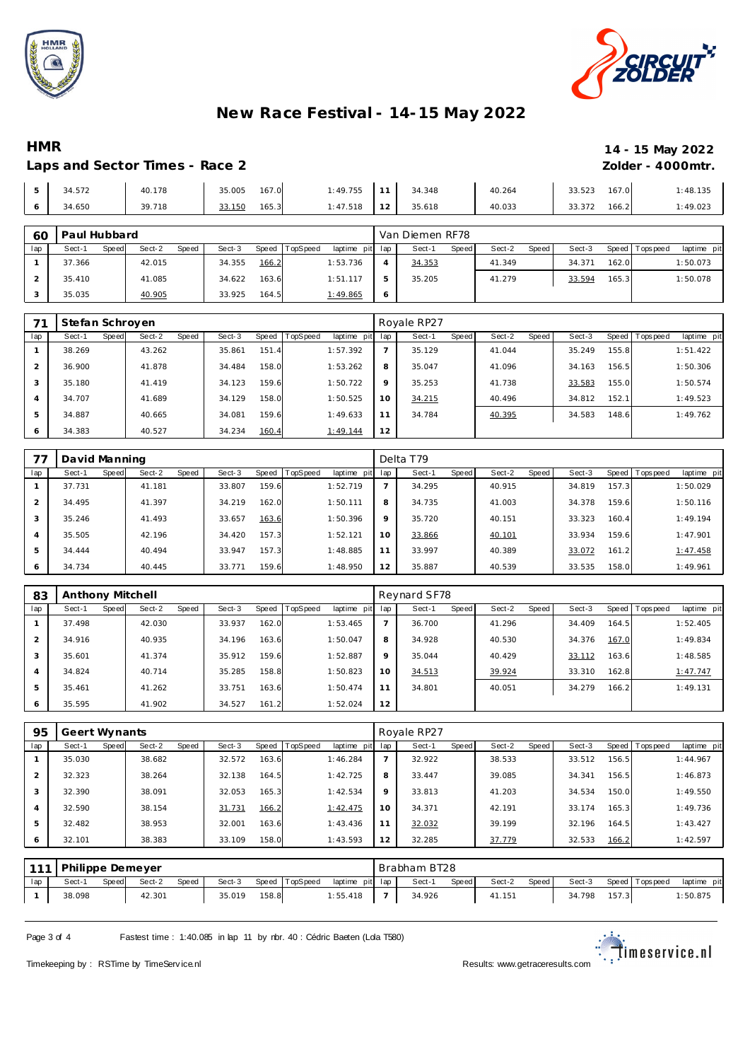



### **HMR 14 - 15 May 2022**

#### Laps and Sector Times - Race 2 *Zolder - 4000mtr.*

|    | 34.572 | 40.178 | 167.0<br>35.005 | 1:49.755 | 11 | 34.348 | 40.264 | 167.0<br>33.523 | 1:48.135 |
|----|--------|--------|-----------------|----------|----|--------|--------|-----------------|----------|
| -6 | 34.650 | 39.718 | 165.3<br>33.150 | 1:47.518 | 12 | 35.618 | 40.033 | 166.2<br>33.372 | 1:49.023 |

| 60  | Paul Hubbard |       |        |       |        |       |          |                 | Van Diemen RF78 |        |       |        |       |        |       |                 |             |  |
|-----|--------------|-------|--------|-------|--------|-------|----------|-----------------|-----------------|--------|-------|--------|-------|--------|-------|-----------------|-------------|--|
| lap | Sect-1       | Speed | Sect-2 | Speed | Sect-3 | Speed | TopSpeed | laptime pit lap |                 | Sect-1 | Speed | Sect-2 | Speed | Sect-3 |       | Speed Tops peed | laptime pit |  |
|     | 37.366       |       | 42.015 |       | 34.355 | 166.2 |          | 1:53.736        |                 | 34.353 |       | 41.349 |       | 34.371 | 162.0 |                 | 1:50.073    |  |
|     | 35.410       |       | 41.085 |       | 34.622 | 163.6 |          | 1:51.117        | 5               | 35.205 |       | 41.279 |       | 33.594 | 165.3 |                 | 1:50.078    |  |
|     | 35.035       |       | 40.905 |       | 33.925 | 164.5 |          | 1:49.865        | -6              |        |       |        |       |        |       |                 |             |  |

|         | Stefan Schroyen |       |        |       |        |       |          |                 | Royale RP27 |        |       |        |         |        |       |                |             |  |
|---------|-----------------|-------|--------|-------|--------|-------|----------|-----------------|-------------|--------|-------|--------|---------|--------|-------|----------------|-------------|--|
| lap     | Sect-1          | Speed | Sect-2 | Speed | Sect-3 | Speed | TopSpeed | laptime pit lap |             | Sect-1 | Speed | Sect-2 | Speed ! | Sect-3 |       | Speed Topspeed | laptime pit |  |
|         | 38.269          |       | 43.262 |       | 35.861 | 151.4 |          | 1:57.392        |             | 35.129 |       | 41.044 |         | 35.249 | 155.8 |                | 1:51.422    |  |
|         | 36.900          |       | 41.878 |       | 34.484 | 158.0 |          | 1:53.262        | 8           | 35.047 |       | 41.096 |         | 34.163 | 156.5 |                | 1:50.306    |  |
| $\cdot$ | 35.180          |       | 41.419 |       | 34.123 | 159.6 |          | 1:50.722        | $\circ$     | 35.253 |       | 41.738 |         | 33.583 | 155.0 |                | 1:50.574    |  |
|         | 34.707          |       | 41.689 |       | 34.129 | 158.0 |          | 1:50.525        | 10          | 34.215 |       | 40.496 |         | 34.812 | 152.1 |                | 1:49.523    |  |
| 5       | 34.887          |       | 40.665 |       | 34.081 | 159.6 |          | 1:49.633        | 11          | 34.784 |       | 40.395 |         | 34.583 | 148.6 |                | 1:49.762    |  |
| 6       | 34.383          |       | 40.527 |       | 34.234 | 160.4 |          | 1:49.144        | 12          |        |       |        |         |        |       |                |             |  |

|     | David Manning |       |        |       |        |       |          |             | Delta T79 |        |       |        |       |        |       |          |             |  |
|-----|---------------|-------|--------|-------|--------|-------|----------|-------------|-----------|--------|-------|--------|-------|--------|-------|----------|-------------|--|
| lap | Sect-1        | Speed | Sect-2 | Speed | Sect-3 | Speed | TopSpeed | laptime pit | lap       | Sect-1 | Speed | Sect-2 | Speed | Sect-3 | Speed | Topspeed | laptime pit |  |
|     | 37.731        |       | 41.181 |       | 33.807 | 159.6 |          | 1:52.719    |           | 34.295 |       | 40.915 |       | 34.819 | 157.3 |          | 1:50.029    |  |
| 2   | 34.495        |       | 41.397 |       | 34.219 | 162.0 |          | 1:50.111    | 8         | 34.735 |       | 41.003 |       | 34.378 | 159.6 |          | 1:50.116    |  |
| 3   | 35.246        |       | 41.493 |       | 33.657 | 163.6 |          | 1:50.396    | 9         | 35.720 |       | 40.151 |       | 33.323 | 160.4 |          | 1:49.194    |  |
| 4   | 35.505        |       | 42.196 |       | 34.420 | 157.3 |          | 1:52.121    | 10        | 33.866 |       | 40.101 |       | 33.934 | 159.6 |          | 1:47.901    |  |
| 5   | 34.444        |       | 40.494 |       | 33.947 | 157.3 |          | 1:48.885    | 11        | 33.997 |       | 40.389 |       | 33.072 | 161.2 |          | 1:47.458    |  |
| 6   | 34.734        |       | 40.445 |       | 33.771 | 159.6 |          | 1:48.950    | 12        | 35.887 |       | 40.539 |       | 33.535 | 158.0 |          | 1:49.961    |  |

| 83             | Anthony Mitchell |       |        |       |        |       |                |             | Reynard SF78 |        |       |        |       |        |       |                   |             |  |
|----------------|------------------|-------|--------|-------|--------|-------|----------------|-------------|--------------|--------|-------|--------|-------|--------|-------|-------------------|-------------|--|
| lap            | Sect-1           | Speed | Sect-2 | Speed | Sect-3 |       | Speed TopSpeed | laptime pit | lap          | Sect-1 | Speed | Sect-2 | Speed | Sect-3 |       | Speed   Tops peed | laptime pit |  |
|                | 37.498           |       | 42.030 |       | 33.937 | 162.0 |                | 1:53.465    |              | 36.700 |       | 41.296 |       | 34.409 | 164.5 |                   | 1:52.405    |  |
| $\mathcal{P}$  | 34.916           |       | 40.935 |       | 34.196 | 163.6 |                | 1:50.047    | 8            | 34.928 |       | 40.530 |       | 34.376 | 167.0 |                   | 1:49.834    |  |
| 3              | 35.601           |       | 41.374 |       | 35.912 | 159.6 |                | 1:52.887    | $\mathsf Q$  | 35.044 |       | 40.429 |       | 33.112 | 163.6 |                   | 1:48.585    |  |
| $\overline{4}$ | 34.824           |       | 40.714 |       | 35.285 | 158.8 |                | 1:50.823    | 10           | 34.513 |       | 39.924 |       | 33.310 | 162.8 |                   | 1:47.747    |  |
| 5              | 35.461           |       | 41.262 |       | 33.751 | 163.6 |                | 1:50.474    | 11           | 34.801 |       | 40.051 |       | 34.279 | 166.2 |                   | 1:49.131    |  |
| 6              | 35.595           |       | 41.902 |       | 34.527 | 161.2 |                | 1:52.024    | 12           |        |       |        |       |        |       |                   |             |  |

| 95  | Geert Wynants |       |        |       |        |       |                 |             | Royale RP27 |        |       |        |       |        |       |                |             |  |
|-----|---------------|-------|--------|-------|--------|-------|-----------------|-------------|-------------|--------|-------|--------|-------|--------|-------|----------------|-------------|--|
| lap | Sect-1        | Speed | Sect-2 | Speed | Sect-3 | Speed | <b>TopSpeed</b> | laptime pit | lap         | Sect-1 | Speed | Sect-2 | Speed | Sect-3 |       | Speed Topspeed | laptime pit |  |
|     | 35.030        |       | 38.682 |       | 32.572 | 163.6 |                 | 1:46.284    |             | 32.922 |       | 38.533 |       | 33.512 | 156.5 |                | 1:44.967    |  |
|     | 32.323        |       | 38.264 |       | 32.138 | 164.5 |                 | 1:42.725    | 8           | 33.447 |       | 39.085 |       | 34.341 | 156.5 |                | 1:46.873    |  |
| 3   | 32.390        |       | 38.091 |       | 32.053 | 165.3 |                 | 1:42.534    | $\circ$     | 33.813 |       | 41.203 |       | 34.534 | 150.0 |                | 1:49.550    |  |
| 4   | 32.590        |       | 38.154 |       | 31.731 | 166.2 |                 | 1:42.475    | 10          | 34.371 |       | 42.191 |       | 33.174 | 165.3 |                | 1:49.736    |  |
| 5   | 32.482        |       | 38.953 |       | 32.001 | 163.6 |                 | 1:43.436    | 11          | 32.032 |       | 39.199 |       | 32.196 | 164.5 |                | 1:43.427    |  |
| 6   | 32.101        |       | 38.383 |       | 33.109 | 158.0 |                 | 1:43.593    | 12          | 32.285 |       | 37.779 |       | 32.533 | 166.2 |                | 1:42.597    |  |

|     | 111 Philippe Demeyer |       |        |       |        |       |                |                 | Brabham BT28 |       |        |       |        |       |                   |             |
|-----|----------------------|-------|--------|-------|--------|-------|----------------|-----------------|--------------|-------|--------|-------|--------|-------|-------------------|-------------|
| lap | Sect-1               | Speed | Sect-2 | Speed | Sect-3 |       | Speed TopSpeed | laptime pit lap | Sect-1       | Speed | Sect-2 | Speed | Sect-3 |       | Speed   Tops peed | laptime pit |
|     | 38.098               |       | 42.301 |       | 35.019 | 158.8 |                | 1:55.418        | 34.926       |       | 41.151 |       | 34.798 | 157.3 |                   | 1:50.875    |

Page 3 of 4 Fastest time : 1:40.085 in lap 11 by nbr. 40 : Cédric Baeten (Lda T580)

Timekeeping by : RSTime by TimeServ ice.nl Results: <www.getraceresults.com>

 $\mathbb{R}^{\mathbb{Z}}$ imeservice.nl